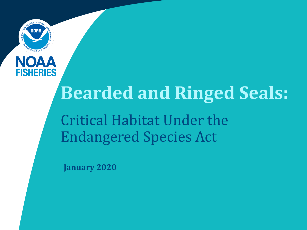



# **Bearded and Ringed Seals:**

Critical Habitat Under the Endangered Species Act

**January 2020**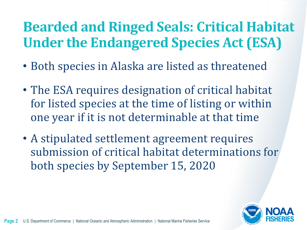# **Bearded and Ringed Seals: Critical Habitat Under the Endangered Species Act (ESA)**

- Both species in Alaska are listed as threatened
- The ESA requires designation of critical habitat for listed species at the time of listing or within one year if it is not determinable at that time
- A stipulated settlement agreement requires submission of critical habitat determinations for both species by September 15, 2020

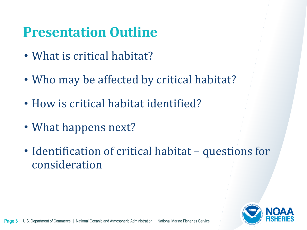## **Presentation Outline**

- What is critical habitat?
- Who may be affected by critical habitat?
- How is critical habitat identified?
- What happens next?
- Identification of critical habitat questions for consideration

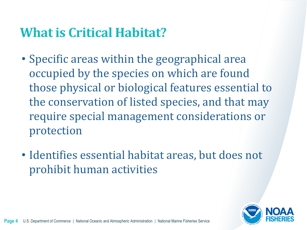### **What is Critical Habitat?**

- Specific areas within the geographical area occupied by the species on which are found those physical or biological features essential to the conservation of listed species, and that may require special management considerations or protection
- Identifies essential habitat areas, but does not prohibit human activities

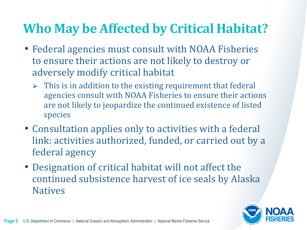### **Who May be Affected by Critical Habitat?**

- Federal agencies must consult with NOAA Fisheries to ensure their actions are not likely to destroy or adversely modify critical habitat
	- $\triangleright$  This is in addition to the existing requirement that federal agencies consult with NOAA Fisheries to ensure their actions are not likely to jeopardize the continued existence of listed species
- Consultation applies only to activities with a federal link: activities authorized, funded, or carried out by a federal agency
- Designation of critical habitat will not affect the continued subsistence harvest of ice seals by Alaska **Natives**

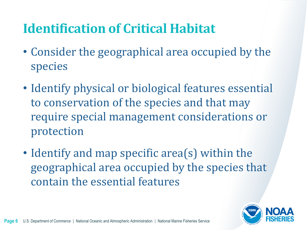### **Identification of Critical Habitat**

- Consider the geographical area occupied by the species
- Identify physical or biological features essential to conservation of the species and that may require special management considerations or protection
- Identify and map specific area(s) within the geographical area occupied by the species that contain the essential features

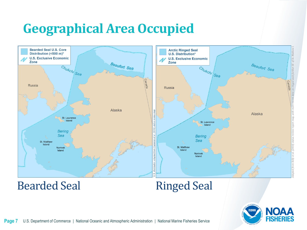## **Geographical Area Occupied**



Bearded Seal Ringed Seal

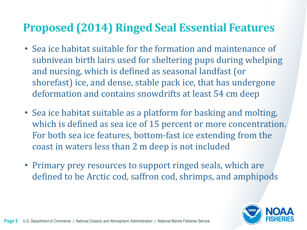### **Proposed (2014) Ringed Seal Essential Features**

- Sea ice habitat suitable for the formation and maintenance of subnivean birth lairs used for sheltering pups during whelping and nursing, which is defined as seasonal landfast (or shorefast) ice, and dense, stable pack ice, that has undergone deformation and contains snowdrifts at least 54 cm deep
- Sea ice habitat suitable as a platform for basking and molting, which is defined as sea ice of 15 percent or more concentration. For both sea ice features, bottom-fast ice extending from the coast in waters less than 2 m deep is not included
- Primary prey resources to support ringed seals, which are defined to be Arctic cod, saffron cod, shrimps, and amphipods

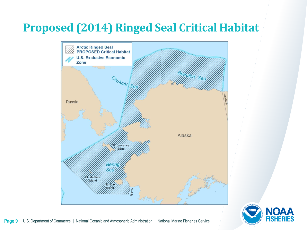### **Proposed (2014) Ringed Seal Critical Habitat**



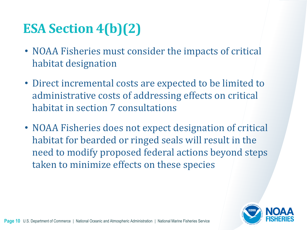# **ESA Section 4(b)(2)**

- NOAA Fisheries must consider the impacts of critical habitat designation
- Direct incremental costs are expected to be limited to administrative costs of addressing effects on critical habitat in section 7 consultations
- NOAA Fisheries does not expect designation of critical habitat for bearded or ringed seals will result in the need to modify proposed federal actions beyond steps taken to minimize effects on these species

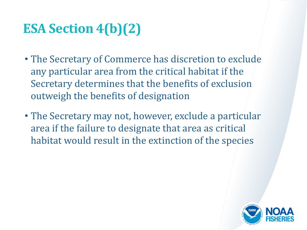# **ESA Section 4(b)(2)**

- The Secretary of Commerce has discretion to exclude any particular area from the critical habitat if the Secretary determines that the benefits of exclusion outweigh the benefits of designation
- The Secretary may not, however, exclude a particular area if the failure to designate that area as critical habitat would result in the extinction of the species

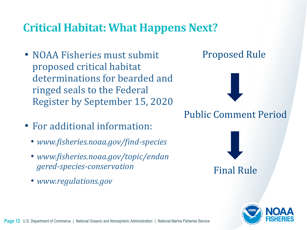### **Critical Habitat: What Happens Next?**

- NOAA Fisheries must submit proposed critical habitat determinations for bearded and ringed seals to the Federal Register by September 15, 2020
- For additional information:
	- *www.fisheries.noaa.gov/find-species*
	- *www.fisheries.noaa.gov/topic/endan gered-species-conservation*
	- *www.regulations.gov*